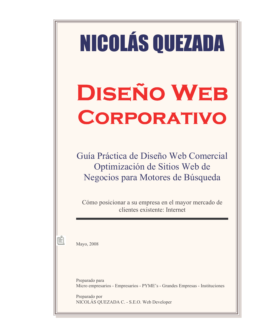# NICOLÁS QUEZADA **DISEÑO WEB CORPORATIVO**

Guía Práctica de Diseño Web Comercial Optimización de Sitios Web de Negocios para Motores de Búsqueda

Cómo posicionar a su empresa en el mayor mercado de clientes existente: Internet

Mayo, 2008

Preparado para Micro empresarios - Empresarios - PYME's - Grandes Empresas - Instituciones

Preparado por NICOLÁS QUEZADA C. - S.E.O. Web Developer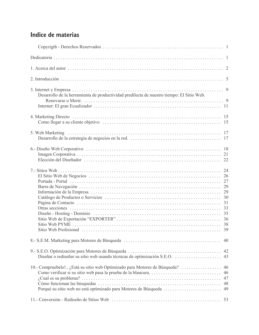## Indice de materias

| Desarrollo de la herramienta de productividad predilecta de nuestro tiempo: El Sitio Web.                                                    |                            |
|----------------------------------------------------------------------------------------------------------------------------------------------|----------------------------|
|                                                                                                                                              |                            |
|                                                                                                                                              |                            |
|                                                                                                                                              |                            |
|                                                                                                                                              | 35                         |
|                                                                                                                                              | 40                         |
|                                                                                                                                              | 42<br>43                   |
| 10.- Compruebelo! ¿Está su sitio web Optimizado para Motores de Búsqueda?<br>Porqué su sitio web no está optimizado para Motores de Búsqueda | 46<br>46<br>47<br>48<br>49 |
|                                                                                                                                              |                            |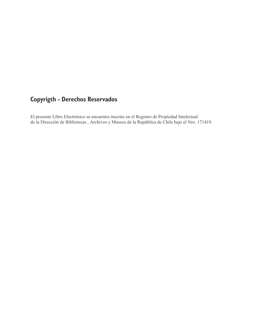## **Copyrigth - Derechos Reservados**

El presente Libro Electrónico se encuentra inscrito en el Registro de Propiedad Intelectual de la Dirección de Bibliotecas, Archivos y Museos de la República de Chile bajo el Nro. 171419.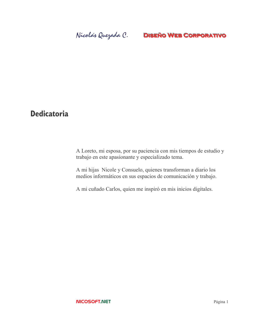## **Dedicatoria**

A Loreto, mi esposa, por su paciencia con mis tiempos de estudio y trabajo en este apasionante y especializado tema.

A mi hijas Nicole y Consuelo, quienes transforman a diario los medios informáticos en sus espacios de comunicación y trabajo.

A mi cuñado Carlos, quien me inspiró en mis inicios digitales.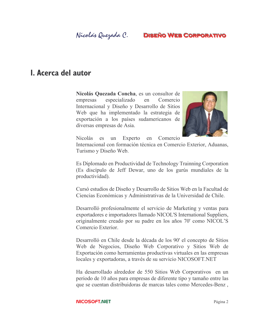## Nicolás Quezada C.

## **DISEÑO WEB CORPORATIVO**

## **I. Acerca del autor**

Nicolás Quezada Concha, es un consultor de especializado en Comercio empresas Internacional y Diseño y Desarrollo de Sitios Web que ha implementado la estrategia de exportación a los países sudamericanos de diversas empresas de Asia.



**Nicolás** Experto Comercio es un en

Internacional con formación técnica en Comercio Exterior, Aduanas, Turismo y Diseño Web.

Es Diplomado en Productividad de Technology Trainning Corporation (Es discípulo de Jeff Dewar, uno de los gurús mundiales de la productividad).

Cursó estudios de Diseño y Desarrollo de Sitios Web en la Facultad de Ciencias Económicas y Administrativas de la Universidad de Chile.

Desarrolló profesionalmente el servicio de Marketing y ventas para exportadores e importadores llamado NICOL'S International Suppliers, originalmente creado por su padre en los años 70' como NICOL'S Comercio Exterior.

Desarrolló en Chile desde la década de los 90' el concepto de Sitios Web de Negocios, Diseño Web Corporativo y Sitios Web de Exportación como herramientas productivas virtuales en las empresas locales y exportadoras, a través de su servicio NICOSOFT.NET

Ha desarrollado alrededor de 550 Sitios Web Corporativos en un periodo de 10 años para empresas de diferente tipo y tamaño entre las que se cuentan distribuidoras de marcas tales como Mercedes-Benz,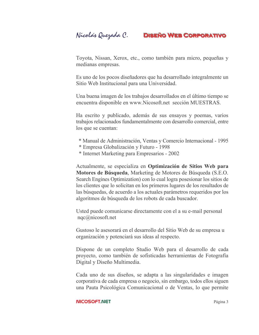Toyota, Nissan, Xerox, etc., como también para micro, pequeñas y medianas empresas.

Es uno de los pocos diseñadores que ha desarrollado integralmente un Sitio Web Institucional para una Universidad.

Una buena imagen de los trabajos desarrollados en el último tiempo se encuentra disponible en www.Nicosoft.net sección MUESTRAS.

Ha escrito y publicado, además de sus ensayos y poemas, varios trabajos relacionados fundamentalmente con desarrollo comercial, entre los que se cuentan:

- \* Manual de Administración, Ventas y Comercio Internacional 1995
- \* Empresa Globalización y Futuro 1998
- \* Internet Marketing para Empresarios 2002

Actualmente, se especializa en Optimización de Sitios Web para Motores de Búsqueda, Marketing de Motores de Búsqueda (S.E.O. Search Engines Optimization) con lo cual logra posesionar los sitios de los clientes que lo solicitan en los primeros lugares de los resultados de las búsquedas, de acuerdo a los actuales parámetros requeridos por los algoritmos de búsqueda de los robots de cada buscador.

Usted puede comunicarse directamente con el a su e-mail personal  $nqc@nicosoft.net$ 

Gustoso le asesorará en el desarrollo del Sitio Web de su empresa u organización y potenciará sus ideas al respecto.

Dispone de un completo Studio Web para el desarrollo de cada proyecto, como también de sofisticadas herramientas de Fotografía Digital y Diseño Multimedia.

Cada uno de sus diseños, se adapta a las singularidades e imagen corporativa de cada empresa o negocio, sin embargo, todos ellos siguen una Pauta Psicológica Comunicacional o de Ventas, lo que permite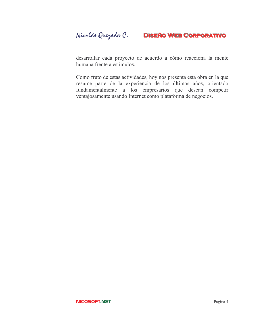desarrollar cada proyecto de acuerdo a cómo reacciona la mente humana frente a estímulos.

Como fruto de estas actividades, hoy nos presenta esta obra en la que resume parte de la experiencia de los últimos años, orientado fundamentalmente a los empresarios que desean competir ventajosamente usando Internet como plataforma de negocios.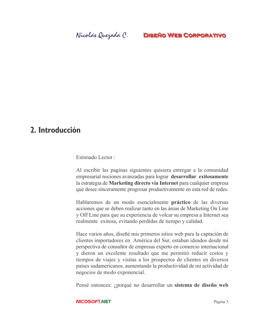## 2. Introducción

### Estimado Lector ·

Al escribir las paginas siguientes quisiera entregar a la comunidad empresarial nociones avanzadas para lograr desarrollar exitosamente la estrategia de Marketing directo vía Internet para cualquier empresa que desee sinceramente progresar productivamente en esta red de redes.

Hablaremos de un modo esencialmente práctico de las diversas acciones que se deben realizar tanto en las áreas de Marketing On Line y Off Line para que su experiencia de volcar su empresa a Internet sea realmente exitosa, evitando perdidas de tiempo y calidad.

Hace varios años, diseñé mis primeros sitios web para la captación de clientes importadores en América del Sur, estaban ideados desde mi perspectiva de consultor de empresas experto en comercio internacional y dieron un excelente resultado que me permitió reducir costos y tiempos de viajes y visitas a los prospectos de clientes en diversos países sudamericanos, aumentando la productividad de mi actividad de negocios de modo exponencial.

Pensé entonces: ¿porqué no desarrollar un sistema de diseño web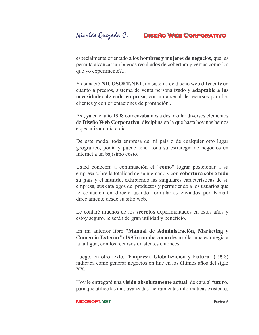especialmente orientado a los **hombres** y mujeres de negocios, que les permita alcanzar tan buenos resultados de cobertura y ventas como los que yo experimenté?...

Y así nació NICOSOFT.NET, un sistema de diseño web diferente en cuanto a precios, sistema de venta personalizado y adaptable a las necesidades de cada empresa, con un arsenal de recursos para los clientes y con orientaciones de promoción.

Así, ya en el año 1998 comenzábamos a desarrollar diversos elementos de Diseño Web Corporativo, disciplina en la que hasta hoy nos hemos especializado día a día.

De este modo, toda empresa de mi país o de cualquier otro lugar geográfico, podía y puede tener toda su estrategia de negocios en Internet a un bajisimo costo.

Usted conocerá a continuación el "como" lograr posicionar a su empresa sobre la totalidad de su mercado y con cobertura sobre todo su país y el mundo, exhibiendo las singulares características de su empresa, sus catálogos de productos y permitiendo a los usuarios que le contacten en directo usando formularios enviados por E-mail directamente desde su sitio web.

Le contaré muchos de los secretos experimentados en estos años y estoy seguro, le serán de gran utilidad y beneficio.

En mi anterior libro "Manual de Administración, Marketing y Comercio Exterior" (1995) narraba como desarrollar una estrategia a la antigua, con los recursos existentes entonces.

Luego, en otro texto, "Empresa, Globalización y Futuro" (1998) indicaba cómo generar negocios on line en los últimos años del siglo XX.

Hoy le entregaré una visión absolutamente actual, de cara al futuro, para que utilice las más avanzadas herramientas informáticas existentes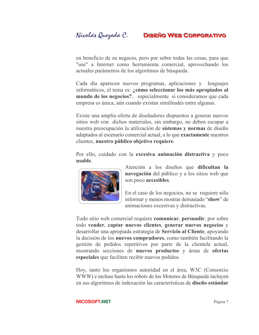en beneficio de su negocio, pero por sobre todas las cosas, para que "use" a Internet como herramienta comercial, aprovechando los actuales parámetros de los algoritmos de búsqueda.

Cada día aparecen nuevos programas, aplicaciones y lenguajes informáticos, el tema es: ¿cómo seleccionar los más apropiados al mundo de los negocios?.. especialmente si consideramos que cada empresa es única, aún cuando existan similitudes entre algunas.

Existe una amplia oferta de diseñadores dispuestos a generar nuevos sitios web con dichos materiales, sin embargo, no deben escapar a nuestra preocupación la utilización de sistemas y normas de diseño adaptados al escenario comercial actual, a lo que exactamente nuestros clientes, nuestro público objetivo requiere.

Por ello, cuidado con la excesiva animación distractiva y poco usable.



Atención a los diseños que dificultan la navegación del público y a los sitios web que son poco accesibles.

En el caso de los negocios, no se requiere sólo informar y menos mostrar demasiado "show" de animaciones excesivas y distractivas.

Todo sitio web comercial requiere comunicar, persuadir, por sobre todo vender, captar nuevos clientes, generar nuevos negocios y desarrollar una apropiada estrategia de Servicio al Cliente, apoyando la decisión de los **nuevos compradores**, como también facilitando la gestión de pedidos repetitivos por parte de la cliente la actual, mostrando secciones de nuevos productos y áreas de ofertas especiales que faciliten recibir nuevos pedidos.

Hoy, tanto los organismos autoridad en el área, W3C (Consorcio WWW) e incluso hasta los robots de los Motores de Búsqueda incluyen en sus algoritmos de indexación las características de diseño estándar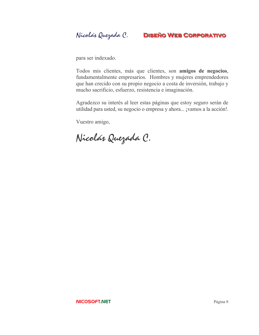Nicolás Quezada C. **DISEÑO WEB CORPORATIVO** 

para ser indexado.

Todos mis clientes, más que clientes, son amigos de negocios, fundamentalmente empresarios. Hombres y mujeres emprendedores que han crecido con su propio negocio a costa de inversión, trabajo y mucho sacrificio, esfuerzo, resistencia e imaginación.

Agradezco su interés al leer estas páginas que estoy seguro serán de utilidad para usted, su negocio o empresa y ahora... ¡vamos a la acción!..

Vuestro amigo,

Nicolás Quezada C.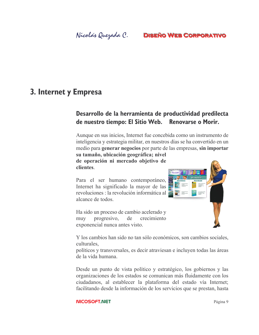## 3. Internet y Empresa

## Desarrollo de la herramienta de productividad predilecta de nuestro tiempo: El Sitio Web. Renovarse o Morir.

Aunque en sus inicios, Internet fue concebida como un instrumento de inteligencia y estrategia militar, en nuestros días se ha convertido en un medio para generar negocios por parte de las empresas, sin importar su tamaño, ubicación geográfica; nivel

Vo con

de operación ni mercado objetivo de **clientes** 

Para el ser humano contemporáneo, Internet ha significado la mayor de las revoluciones : la revolución informática al alcance de todos.

Ha sido un proceso de cambio acelerado y progresivo, de crecimiento muy exponencial nunca antes visto.

Y los cambios han sido no tan sólo económicos, son cambios sociales, culturales.

políticos y transversales, es decir atraviesan e incluyen todas las áreas de la vida humana.

Desde un punto de vista político y estratégico, los gobiernos y las organizaciones de los estados se comunican más fluidamente con los ciudadanos, al establecer la plataforma del estado vía Internet; facilitando desde la información de los servicios que se prestan, hasta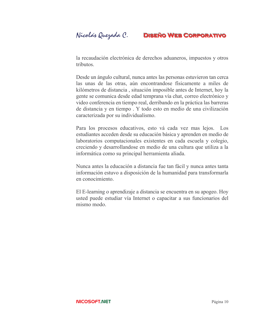Nicolás Quezada C.

la recaudación electrónica de derechos aduaneros, impuestos y otros tributos.

Desde un ángulo cultural, nunca antes las personas estuvieron tan cerca las unas de las otras, aún encontrandose físicamente a miles de kilómetros de distancia, situación imposible antes de Internet, hoy la gente se comunica desde edad temprana vía chat, correo electrónico y video conferencia en tiempo real, derribando en la práctica las barreras de distancia y en tiempo. Y todo esto en medio de una civilización caracterizada por su individualismo.

Para los procesos educativos, esto vá cada vez mas lejos. Los estudiantes acceden desde su educación básica y aprenden en medio de laboratorios computacionales existentes en cada escuela y colegio, creciendo y desarrollandose en medio de una cultura que utiliza a la informática como su principal herramienta aliada.

Nunca antes la educación a distancia fue tan fácil y nunca antes tanta información estuvo a disposición de la humanidad para transformarla en conocimiento.

El E-learning o aprendizaje a distancia se encuentra en su apogeo. Hoy usted puede estudiar vía Internet o capacitar a sus funcionarios del mismo modo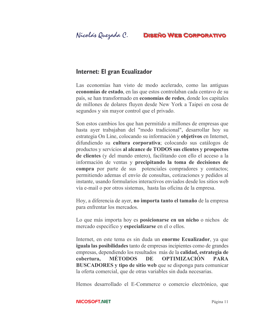## Internet: El gran Ecualizador

Las economías han visto de modo acelerado, como las antiguas economías de estado, en las que estos controlaban cada centavo de su país, se han transformado en **economías de redes**, donde los capitales de millones de dolares fluyen desde New York a Taipei en cosa de segundos y sin mayor control que el privado.

Son estos cambios los que han permitido a millones de empresas que hasta ayer trabajaban del "modo tradicional", desarrollar hoy su estrategia On Line, colocando su información y objetivos en Internet, difundiendo su cultura corporativa; colocando sus catálogos de productos y servicios al alcance de TODOS sus clientes y prospectos de clientes (y del mundo entero), facilitando con ello el acceso a la información de ventas y precipitando la toma de decisiones de **compra** por parte de sus potenciales compradores y contactos; permitiendo ademas el envío de consultas, cotizaciones y pedidos al instante, usando formularios interactivos enviados desde los sitios web vía e-mail o por otros sistemas, hasta las oficina de la empresa.

Hoy, a diferencia de ayer, no importa tanto el tamaño de la empresa para enfrentar los mercados.

Lo que más importa hoy es **posicionarse en un nicho** o nichos de mercado especifico y especializarse en el o ellos.

Internet, en este tema es sin duda un enorme Ecualizador, ya que **iguala las posibilidades** tanto de empresas incipientes como de grandes empresas, dependiendo los resultados más de la calidad, estrategia de cobertura. **MÉTODOS** DE **OPTIMIZACIÓN PARA BUSCADORES** y tipo de sitio web que se disponga para comunicar la oferta comercial, que de otras variables sin duda necesarias.

Hemos desarrollado el E-Commerce o comercio electrónico, que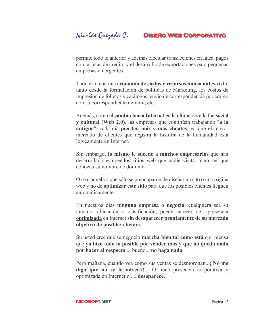permite todo lo anterior y además efectuar transacciones en linea, pagos con tarjetas de crédito y el desarrollo de exportaciones para pequeñas empresas emergentes.

Todo esto con una economía de costos y recursos nunca antes vista, tanto desde la formulación de políticas de Marketing, los costos de impresión de folletos y catálogos, envío de correspondencia por correo con su correspondiente demora, etc.

Además, como el **cambio hacia Internet** en la ultima década fue social y cultural (Web 2.0), las empresas que continúan trabajando "a la antigua", cada día pierden más y más clientes, ya que el mayor mercado de clientes que registra la historia de la humanidad está lógicamente en Internet.

Sin embargo, lo mismo le sucede a muchos empresarios que han desarrollado estupendos sitios web que nadie visita, a no ser que conozca su nombre de dominio

O sea, aquellos que sólo se preocuparon de diseñar un sito o una página web y no de **optimizar este sitio** para que los posibles clientes lleguen automáticamente.

En nuestros días ninguna empresa o negocio, cualquiera sea su tamaño, ubicación o clasificación, puede carecer de presencia optimizada en Internet sin desaparecer prontamente de su mercado objetivo de posibles clientes.

Su usted cree que su negocio marcha bien tal como está o si piensa que ya hizo todo lo posible por vender más y que no queda nada por hacer al respecto... bueno... no haga nada.

Pero mañana, cuando vea como sus ventas se desmoronan...; No me diga que no se lo advertí!..: O tiene presencia corporativa y optimizada en Internet o .... desaparece.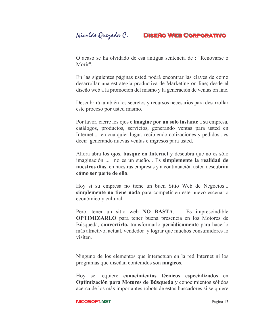Nicolás Quezada C.

## **DISEÑO WEB CORPORATIVO**

O acaso se ha olvidado de esa antigua sentencia de : "Renovarse o Morir"

En las siguientes páginas usted podrá encontrar las claves de cómo desarrollar una estrategia productiva de Marketing on line; desde el diseño web a la promoción del mismo y la generación de ventas on line.

Descubrirá también los secretos y recursos necesarios para desarrollar este proceso por usted mismo.

Por favor, cierre los ojos e imagine por un solo instante a su empresa, catálogos, productos, servicios, generando ventas para usted en Internet... en cualquier lugar, recibiendo cotizaciones y pedidos.. es decir generando nuevas ventas e ingresos para usted.

Ahora abra los ojos, **busque en Internet** y descubra que no es sólo imaginación ... no es un sueño... Es simplemente la realidad de nuestros días, en nuestras empresas y a continuación usted descubrirá cómo ser parte de ello.

Hoy si su empresa no tiene un buen Sitio Web de Negocios... simplemente no tiene nada para competir en este nuevo escenario económico y cultural.

Pero, tener un sitio web NO BASTA. Es imprescindible **OPTIMIZARLO** para tener buena presencia en los Motores de Búsqueda, convertirlo, transformarlo periódicamente para hacerlo más atractivo, actual, vendedor y lograr que muchos consumidores lo visiten.

Ninguno de los elementos que interactuan en la red Internet ni los programas que diseñan contenidos son mágicos.

Hoy se requiere conocimientos técnicos especializados en Optimización para Motores de Búsqueda y conocimientos sólidos acerca de los más importantes robots de estos buscadores si se quiere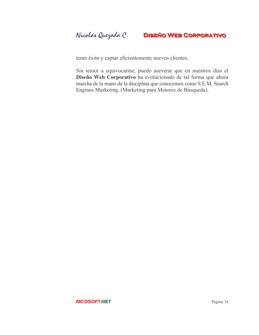tener éxito y captar eficientemente nuevos clientes.

Sin temor a equivocarme, puedo aseverar que en nuestros días el Diseño Web Corporativo ha evolucionado de tal forma que ahora marcha de la mano de la disciplina que conocemos como S.E.M. Search Engines Marketing. (Marketing para Motores de Búsqueda).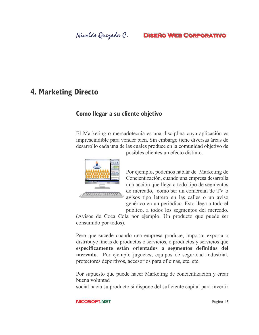## **4. Marketing Directo**

## Como llegar a su cliente objetivo

El Marketing o mercadotecnia es una disciplina cuya aplicación es imprescindible para vender bien. Sin embargo tiene diversas áreas de desarrollo cada una de las cuales produce en la comunidad objetivo de



posibles clientes un efecto distinto.

Por ejemplo, podemos hablar de Marketing de Concientización, cuando una empresa desarrolla una acción que llega a todo tipo de segmentos de mercado, como ser un comercial de TV o avisos tipo letrero en las calles o un aviso genérico en un periódico. Esto llega a todo el publico, a todos los segmentos del mercado.

(Avisos de Coca Cola por ejemplo. Un producto que puede ser consumido por todos).

Pero que sucede cuando una empresa produce, importa, exporta o distribuye líneas de productos o servicios, o productos y servicios que específicamente están orientados a segmentos definidos del mercado. Por ejemplo juguetes; equipos de seguridad industrial, protectores deportivos, accesorios para oficinas, etc. etc.

Por supuesto que puede hacer Marketing de concientización y crear buena voluntad

social hacia su producto si dispone del suficiente capital para invertir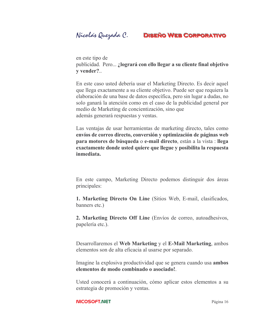Nicolás Quezada C.



en este tipo de publicidad. Pero...; logrará con ello llegar a su cliente final objetivo y vender?..

En este caso usted debería usar el Marketing Directo. Es decir aquel que llega exactamente a su cliente objetivo. Puede ser que requiera la elaboración de una base de datos específica, pero sin lugar a dudas, no solo ganará la atención como en el caso de la publicidad general por medio de Marketing de concientización, sino que además generará respuestas y ventas.

Las ventajas de usar herramientas de marketing directo, tales como envíos de correo directo, conversión y optimización de páginas web para motores de búsqueda o e-mail directo, están a la vista : llega exactamente donde usted quiere que llegue y posibilita la respuesta inmediata.

En este campo, Marketing Directo podemos distinguir dos áreas principales:

1. Marketing Directo On Line (Sitios Web, E-mail, clasificados, banners etc.)

**2. Marketing Directo Off Line** (Envíos de correo, autoadhesivos, papelería etc.).

Desarrollaremos el Web Marketing y el E-Mail Marketing, ambos elementos son de alta eficacia al usarse por separado.

Imagine la explosiva productividad que se genera cuando usa ambos elementos de modo combinado o asociado!

Usted conocerá a continuación, cómo aplicar estos elementos a su estrategia de promoción y ventas.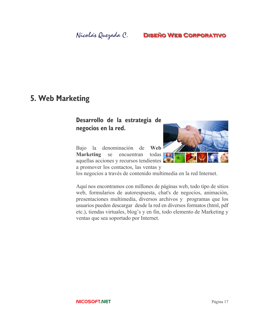## Nicolás Quezada C.

## **DISEÑO WEB CORPORATIVO**

## 5. Web Marketing

## Desarrollo de la estrategia de negocios en la red.

la denominación de Web Bajo se encuentran **Marketing** todas aquellas acciones y recursos tendientes a promover los contactos, las ventas y



los negocios a través de contenido multimedia en la red Internet.

Aquí nos encontramos con millones de páginas web, todo tipo de sitios web, formularios de autorespuesta, chat's de negocios, animación, presentaciones multimedia, diversos archivos y programas que los usuarios pueden descargar desde la red en diversos formatos (html, pdf etc.), tiendas virtuales, blog's y en fin, todo elemento de Marketing y ventas que sea soportado por Internet.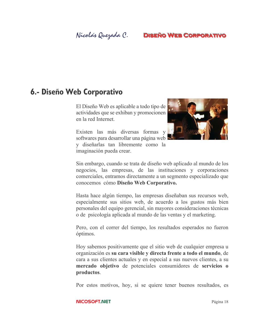## Nicolás Quezada C.

## **DISEÑO WEB CORPORATIVO**

## 6.- Diseño Web Corporativo

El Diseño Web es aplicable a todo tipo de actividades que se exhiban y promocionen en la red Internet.

Existen las más diversas formas y softwares para desarrollar una página web y diseñarlas tan libremente como la imaginación pueda crear.



Sin embargo, cuando se trata de diseño web aplicado al mundo de los negocios, las empresas, de las instituciones y corporaciones comerciales, entramos directamente a un segmento especializado que conocemos cómo Diseño Web Corporativo.

Hasta hace algún tiempo, las empresas diseñaban sus recursos web, especialmente sus sitios web, de acuerdo a los gustos más bien personales del equipo gerencial, sin mayores consideraciones técnicas o de psicología aplicada al mundo de las ventas y el marketing.

Pero, con el correr del tiempo, los resultados esperados no fueron óptimos.

Hoy sabemos positivamente que el sitio web de cualquier empresa u organización es su cara visible y directa frente a todo el mundo, de cara a sus clientes actuales y en especial a sus nuevos clientes, a su mercado objetivo de potenciales consumidores de servicios o productos.

Por estos motivos, hoy, si se quiere tener buenos resultados, es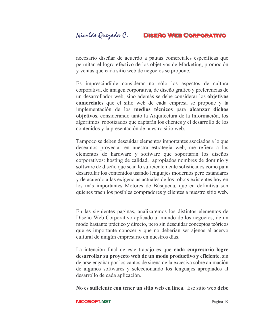necesario diseñar de acuerdo a pautas comerciales específicas que permitan el logro efectivo de los objetivos de Marketing, promoción y ventas que cada sitio web de negocios se propone.

Es imprescindible considerar no sólo los aspectos de cultura corporativa, de imagen corporativa, de diseño gráfico y preferencias de un desarrollador web, sino además se debe considerar los objetivos **comerciales** que el sitio web de cada empresa se propone y la implementación de los medios técnicos para alcanzar dichos objetivos, considerando tanto la Arquitectura de la Información, los algoritmos robotizados que captarán los clientes y el desarrollo de los contenidos y la presentación de nuestro sitio web.

Tampoco se deben descuidar elementos importantes asociados a lo que deseamos proyectar en nuestra estrategia web, me refiero a los elementos de hardware y software que soportaran los diseños corporativos: hosting de calidad, apropiados nombres de dominio y software de diseño que sean lo suficientemente sofisticados como para desarrollar los contenidos usando lenguajes modernos pero estándares y de acuerdo a las exigencias actuales de los robots existentes hoy en los más importantes Motores de Búsqueda, que en definitiva son quienes traen los posibles compradores y clientes a nuestro sitio web.

En las siguientes paginas, analizaremos los distintos elementos de Diseño Web Corporativo aplicado al mundo de los negocios, de un modo bastante práctico y directo, pero sin descuidar conceptos teóricos que es importante conocer y que no deberían ser ajenos al acervo cultural de ningún empresario en nuestros días.

La intención final de este trabajo es que cada empresario logre desarrollar su provecto web de un modo productivo y eficiente, sin dejarse engañar por los cantos de sirena de la excesiva sobre animación de algunos softwares y seleccionando los lenguajes apropiados al desarrollo de cada aplicación.

No es suficiente con tener un sitio web en línea. Ese sitio web debe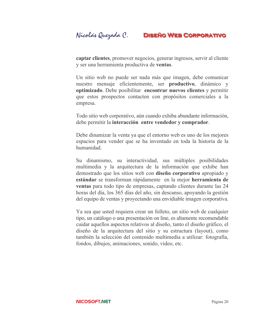captar clientes, promover negocios, generar ingresos, servir al cliente y ser una herramienta productiva de ventas.

Un sitio web no puede ser nada más que imagen, debe comunicar nuestro mensaje eficientemente, ser **productivo**, dinámico y optimizado. Debe posibilitar encontrar nuevos clientes y permitir que estos prospectos contacten con propósitos comerciales a la empresa.

Todo sitio web corporativo, aún cuando exhiba abundante información, debe permitir la interacción entre vendedor y comprador.

Debe dinamizar la venta ya que el entorno web es uno de los mejores espacios para vender que se ha inventado en toda la historia de la humanidad

Su dinamismo, su interactividad, sus múltiples posibilidades multimedia y la arquitectura de la información que exhibe han demostrado que los sitios web con **diseño corporativo** apropiado y estándar se transforman rápidamente en la mejor herramienta de ventas para todo tipo de empresas, captando clientes durante las 24 horas del día, los 365 días del año, sin descanso, apoyando la gestión del equipo de ventas y proyectando una envidiable imagen corporativa.

Ya sea que usted requiera crear un folleto, un sitio web de cualquier tipo, un catálogo o una presentación on line, es altamente recomendable cuidar aquellos aspectos relativos al diseño, tanto el diseño gráfico, el diseño de la arquitectura del sitio y su estructura (layout), como también la selección del contenido multimedia a utilizar: fotografía, fondos, dibujos, animaciones, sonido, video, etc.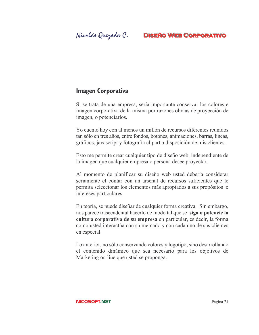## **Imagen Corporativa**

Si se trata de una empresa, sería importante conservar los colores e imagen corporativa de la misma por razones obvias de proyección de imagen, o potenciarlos.

Yo cuento hoy con al menos un millón de recursos diferentes reunidos tan sólo en tres años, entre fondos, botones, animaciones, barras, líneas, gráficos, javascript y fotografía clipart a disposición de mis clientes.

Esto me permite crear cualquier tipo de diseño web, independiente de la imagen que cualquier empresa o persona desee proyectar.

Al momento de planificar su diseño web usted debería considerar seriamente el contar con un arsenal de recursos suficientes que le permita seleccionar los elementos más apropiados a sus propósitos e intereses particulares.

En teoría, se puede diseñar de cualquier forma creativa. Sin embargo, nos parece trascendental hacerlo de modo tal que se siga o potencie la cultura corporativa de su empresa en particular, es decir, la forma como usted interactúa con su mercado y con cada uno de sus clientes en especial.

Lo anterior, no sólo conservando colores y logotipo, sino desarrollando el contenido dinámico que sea necesario para los objetivos de Marketing on line que usted se proponga.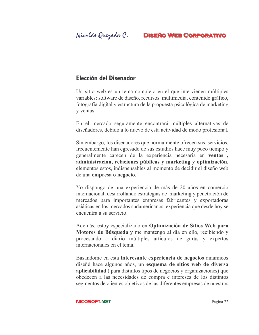## Elección del Diseñador

Un sitio web es un tema complejo en el que intervienen múltiples variables: software de diseño, recursos multimedia, contenido gráfico, fotografía digital y estructura de la propuesta psicológica de marketing y ventas.

En el mercado seguramente encontrará múltiples alternativas de diseñadores, debido a lo nuevo de esta actividad de modo profesional.

Sin embargo, los diseñadores que normalmente ofrecen sus servicios, frecuentemente han egresado de sus estudios hace muy poco tiempo y generalmente carecen de la experiencia necesaria en ventas, administración, relaciones públicas y marketing y optimización, elementos estos, indispensables al momento de decidir el diseño web de una empresa o negocio.

Yo dispongo de una experiencia de más de 20 años en comercio internacional, desarrollando estrategias de marketing y penetración de mercados para importantes empresas fabricantes y exportadoras asiáticas en los mercados sudamericanos, experiencia que desde hoy se encuentra a su servicio.

Además, estoy especializado en Optimización de Sitios Web para Motores de Búsqueda y me mantengo al día en ello, recibiendo y procesando a diario múltiples artículos de gurús y expertos internacionales en el tema.

Basandome en esta interesante experiencia de negocios dinámicos diseñé hace algunos años, un esquema de sitios web de diversa aplicabilidad (para distintos tipos de negocios y organizaciones) que obedecen a las necesidades de compra e intereses de los distintos segmentos de clientes objetivos de las diferentes empresas de nuestros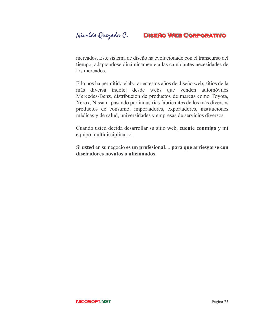mercados. Este sistema de diseño ha evolucionado con el transcurso del tiempo, adaptandose dinámicamente a las cambiantes necesidades de los mercados.

Ello nos ha permitido elaborar en estos años de diseño web, sitios de la más diversa índole: desde webs que venden automóviles Mercedes-Benz, distribución de productos de marcas como Toyota, Xerox, Nissan, pasando por industrias fabricantes de los más diversos productos de consumo; importadores, exportadores, instituciones médicas y de salud, universidades y empresas de servicios diversos.

Cuando usted decida desarrollar su sitio web, cuente conmigo y mi equipo multidisciplinario.

Si usted en su negocio es un profesional.... para que arriesgarse con diseñadores novatos o aficionados.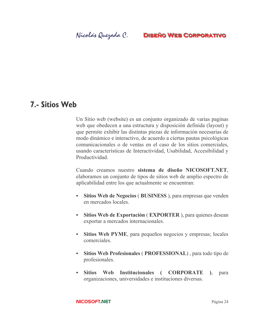## **7.- Sitios Web**

Un Sitio web (website) es un conjunto organizado de varias paginas web que obedecen a una estructura y disposición definida (layout) y que permite exhibir las distintas piezas de información necesarias de modo dinámico e interactivo, de acuerdo a ciertas pautas psicológicas comunicacionales o de ventas en el caso de los sitios comerciales, usando características de Interactividad, Usabilidad, Accesibilidad y Productividad

Cuando creamos nuestro sistema de diseño NICOSOFT.NET. elaboramos un conjunto de tipos de sitios web de amplio espectro de aplicabilidad entre los que actualmente se encuentran:

- Sitios Web de Negocios (BUSINESS), para empresas que venden  $\bullet$  . en mercados locales.
- · Sitios Web de Exportación (EXPORTER), para quienes desean exportar a mercados internacionales.
- Sitios Web PYME, para pequeños negocios y empresas; locales comerciales
- Sitios Web Profesionales (PROFESSIONAL), para todo tipo de  $\bullet$ profesionales.
- Sitios Web Institucionales (CORPORATE), para organizaciones, universidades e instituciones diversas.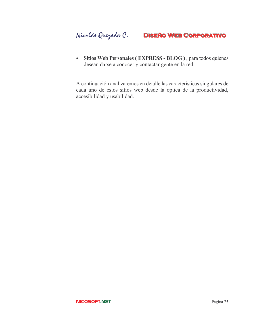· Sitios Web Personales (EXPRESS - BLOG), para todos quienes desean darse a conocer y contactar gente en la red.

A continuación analizaremos en detalle las características singulares de cada uno de estos sitios web desde la óptica de la productividad, accesibilidad y usabilidad.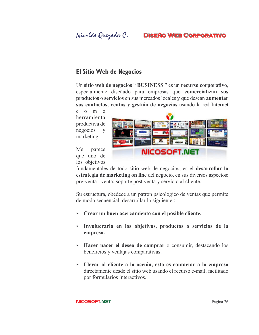Nicolás Quezada C.

## **DISEÑO WEB CORPORATIVO**

## **El Sitio Web de Negocios**

Un sitio web de negocios "BUSINESS" es un recurso corporativo, especialmente diseñado para empresas que comercializan sus productos o servicios en sus mercados locales y que desean aumentar sus contactos, ventas y gestión de negocios usando la red Internet

 $c \quad o \quad m \quad o$ herramienta productiva de negocios y marketing.



Me parece que uno de los objetivos

fundamentales de todo sitio web de negocios, es el desarrollar la estrategia de marketing on line del negocio, en sus diversos aspectos: pre-venta; venta; soporte post venta y servicio al cliente.

Su estructura, obedece a un patrón psicológico de ventas que permite de modo secuencial, desarrollar lo siguiente :

- $\triangleright$  Crear un buen acercamiento con el posible cliente.
- Involucrarlo en los objetivos, productos o servicios de la empresa.
- Hacer nacer el deseo de comprar o consumir, destacando los beneficios y ventajas comparativas.
- > Llevar al cliente a la acción, esto es contactar a la empresa directamente desde el sitio web usando el recurso e-mail, facilitado por formularios interactivos.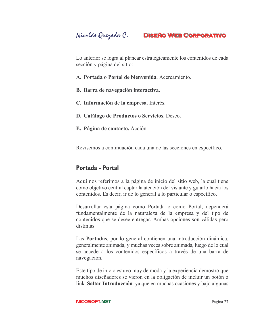Lo anterior se logra al planear estratégicamente los contenidos de cada sección y página del sitio:

- A. Portada o Portal de bienvenida. Acercamiento.
- B. Barra de navegación interactiva.
- C. Información de la empresa. Interés.
- D. Catálogo de Productos o Servicios. Deseo.
- E. Página de contacto. Acción.

Revisemos a continuación cada una de las secciones en específico.

## Portada - Portal

Aquí nos referimos a la página de inicio del sitio web, la cual tiene como objetivo central captar la atención del vistante y guiarlo hacia los contenidos. Es decir, ir de lo general a lo particular o específico.

Desarrollar esta página como Portada o como Portal, dependerá fundamentalmente de la naturaleza de la empresa y del tipo de contenidos que se desee entregar. Ambas opciones son válidas pero distintas.

Las **Portadas**, por lo general contienen una introducción dinámica, generalmente animada, y muchas veces sobre animada, luego de lo cual se accede a los contenidos específicos a través de una barra de navegación.

Este tipo de inicio estuvo muy de moda y la experiencia demostró que muchos diseñadores se vieron en la obligación de incluir un botón o link Saltar Introducción ya que en muchas ocasiones y bajo algunas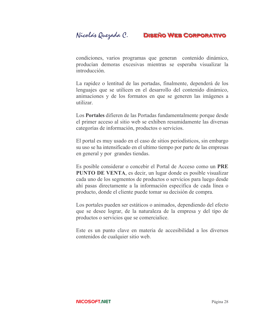condiciones, varios programas que generan contenido dinámico, producían demoras excesivas mientras se esperaba visualizar la introducción.

La rapidez o lentitud de las portadas, finalmente, dependerá de los lenguajes que se utilicen en el desarrollo del contenido dinámico, animaciones y de los formatos en que se generen las imágenes a utilizar.

Los Portales difieren de las Portadas fundamentalmente porque desde el primer acceso al sitio web se exhiben resumidamente las diversas categorías de información, productos o servicios.

El portal es muy usado en el caso de sitios periodísticos, sin embargo su uso se ha intensificado en el ultimo tiempo por parte de las empresas en general y por grandes tiendas.

Es posible considerar o concebir el Portal de Acceso como un PRE **PUNTO DE VENTA**, es decir, un lugar donde es posible visualizar cada uno de los segmentos de productos o servicios para luego desde ahí pasas directamente a la información específica de cada línea o producto, donde el cliente puede tomar su decisión de compra.

Los portales pueden ser estáticos o animados, dependiendo del efecto que se desee lograr, de la naturaleza de la empresa y del tipo de productos o servicios que se comercialice.

Este es un punto clave en materia de accesibilidad a los diversos contenidos de cualquier sitio web.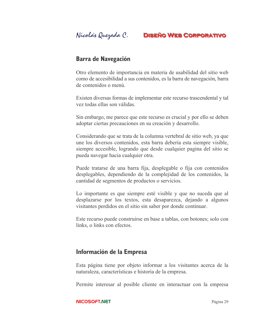## **Barra de Navegación**

Otro elemento de importancia en materia de usabilidad del sitio web como de accesibilidad a sus contenidos, es la barra de navegación, barra de contenidos o menú

Existen diversas formas de implementar este recurso trascendental y tal vez todas ellas son válidas.

Sin embargo, me parece que este recurso es crucial y por ello se deben adoptar ciertas precauciones en su creación y desarrollo.

Considerando que se trata de la columna vertebral de sitio web, ya que une los diversos contenidos, esta barra debería esta siempre visible, siempre accesible, logrando que desde cualquier pagina del sitio se pueda navegar hacia cualquier otra.

Puede tratarse de una barra fija, desplegable o fija con contenidos desplegables, dependiendo de la complejidad de los contenidos, la cantidad de segmentos de productos o servicios.

Lo importante es que siempre esté visible y que no suceda que al desplazarse por los textos, esta desaparezca, dejando a algunos visitantes perdidos en el sitio sin saber por donde continuar.

Este recurso puede construirse en base a tablas, con botones; solo con links, o links con efectos.

## Información de la Empresa

Esta página tiene por objeto informar a los visitantes acerca de la naturaleza, características e historia de la empresa.

Permite interesar al posible cliente en interactuar con la empresa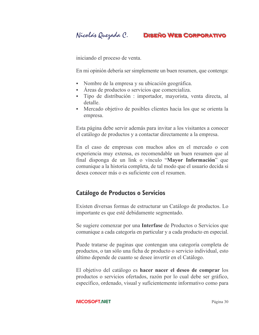Nicolás Quezada C.

## **DISEÑO WEB CORPORATIVO**

iniciando el proceso de venta.

En mi opinión debería ser simplemente un buen resumen, que contenga:

- Nombre de la empresa y su ubicación geográfica.
- Areas de productos o servicios que comercializa.
- Tipo de distribución : importador, mayorista, venta directa, al detalle.
- Mercado objetivo de posibles clientes hacia los que se orienta la empresa.

Esta página debe servir además para invitar a los visitantes a conocer el catálogo de productos y a contactar directamente a la empresa.

En el caso de empresas con muchos años en el mercado o con experiencia muy extensa, es recomendable un buen resumen que al final disponga de un link o vínculo "Mayor Información" que comunique a la historia completa, de tal modo que el usuario decida si desea conocer más o es suficiente con el resumen.

## **Catálogo de Productos o Servicios**

Existen diversas formas de estructurar un Catálogo de productos. Lo importante es que esté debidamente segmentado.

Se sugiere comenzar por una **Interfase** de Productos o Servicios que comunique a cada categoría en particular y a cada producto en especial.

Puede tratarse de paginas que contengan una categoría completa de productos, o tan sólo una ficha de producto o servicio individual, esto último depende de cuanto se desee invertir en el Catálogo.

El objetivo del catálogo es hacer nacer el deseo de comprar los productos o servicios ofertados, razón por lo cual debe ser gráfico, específico, ordenado, visual y suficientemente informativo como para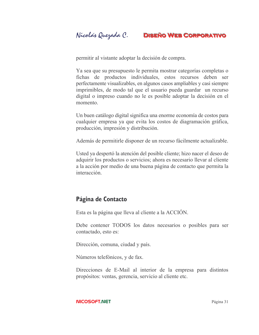permitir al vistante adoptar la decisión de compra.

Ya sea que su presupuesto le permita mostrar categorías completas o fichas de productos individuales, estos recursos deben ser perfectamente visualizables, en algunos casos ampliables y casi siempre imprimibles, de modo tal que el usuario pueda guardar un recurso digital o impreso cuando no le es posible adoptar la decisión en el momento.

Un buen catálogo digital significa una enorme economía de costos para cualquier empresa ya que evita los costos de diagramación gráfica, producción, impresión y distribución.

Además de permitirle disponer de un recurso fácilmente actualizable.

Usted ya despertó la atención del posible cliente; hizo nacer el deseo de adquirir los productos o servicios; ahora es necesario llevar al cliente a la acción por medio de una buena página de contacto que permita la interacción.

## Página de Contacto

Esta es la página que lleva al cliente a la ACCIÓN.

Debe contener TODOS los datos necesarios o posibles para ser contactado, esto es:

Dirección, comuna, ciudad y país.

Números telefónicos, y de fax.

Direcciones de E-Mail al interior de la empresa para distintos propósitos: ventas, gerencia, servicio al cliente etc.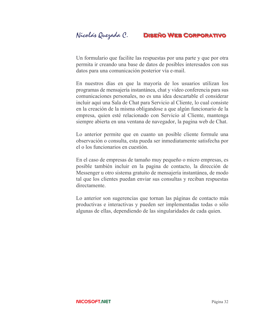Un formulario que facilite las respuestas por una parte y que por otra permita ir creando una base de datos de posibles interesados con sus datos para una comunicación posterior vía e-mail.

En nuestros días en que la mayoría de los usuarios utilizan los programas de mensajería instantánea, chat y video conferencia para sus comunicaciones personales, no es una idea descartable el considerar incluir aquí una Sala de Chat para Servicio al Cliente, lo cual consiste en la creación de la misma obligandose a que algún funcionario de la empresa, quien esté relacionado con Servicio al Cliente, mantenga siempre abierta en una ventana de navegador, la pagina web de Chat.

Lo anterior permite que en cuanto un posible cliente formule una observación o consulta, esta pueda ser inmediatamente satisfecha por el o los funcionarios en cuestión.

En el caso de empresas de tamaño muy pequeño o micro empresas, es posible también incluir en la pagina de contacto, la dirección de Messenger u otro sistema gratuito de mensajería instantánea, de modo tal que los clientes puedan enviar sus consultas y reciban respuestas directamente

Lo anterior son sugerencias que tornan las páginas de contacto más productivas e interactivas y pueden ser implementadas todas o sólo algunas de ellas, dependiendo de las singularidades de cada quien.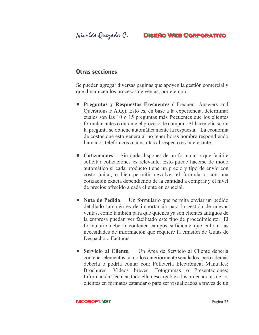## **Otras secciones**

Se pueden agregar diversas paginas que apoyen la gestión comercial y que dinamicen los procesos de ventas, por ejemplo:

- **Preguntas y Respuestas Frecuentes** (Frequent Answers and Querstions F.A.Q.). Esto es, en base a la experiencia, determinar cuales son las 10 o 15 preguntas más frecuentes que los clientes formulan antes o durante el proceso de compra. Al hacer clic sobre la pregunta se obtiene automáticamente la respuesta. La economía de costos que esto genera al no tener horas hombre respondiendo llamados telefónicos o consultas al respecto es interesante.
- $\blacksquare$  Cotizaciones. Sin duda disponer de un formulario que facilite solicitar cotizaciones es relevante. Esto puede hacerse de modo automático si cada producto tiene un precio y tipo de envío con costo único, o bien permitir devolver el formulario con una cotización exacta dependiendo de la cantidad a comprar y el nivel de precios ofrecido a cada cliente en especial.
- Nota de Pedido. Un formulario que permita enviar un pedido detallado también es de importancia para la gestión de nuevas ventas, como también para que quienes ya son clientes antiguos de la empresa puedan ver facilitado este tipo de procedimiento. El formulario debería contener campos suficiente que cubran las necesidades de información que requiere la emisión de Guías de Despacho o Facturas.
- Servicio al Cliente. Un Area de Servicio al Cliente debería contener elementos como los anteriormente señalados, pero además debería o podría contar con: Folletería Electrónica; Manuales; Brochures; Videos breves; Fotogramas o Presentaciones; Información Técnica, todo ello descargable a los ordenadores de los clientes en formatos estándar o para ser visualizados a través de un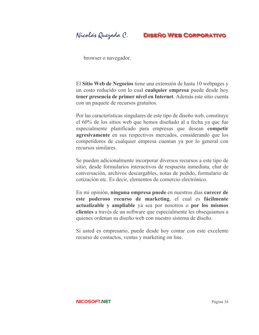Nicolás Quezada C.

browser o navegador.

El Sitio Web de Negocios tiene una extensión de hasta 10 webpages y un costo reducido con lo cual cualquier empresa puede desde hoy tener presencia de primer nivel en Internet. Además este sitio cuenta con un paquete de recursos gratuitos.

Por las características singulares de este tipo de diseño web, constituye el 60% de los sitios web que hemos diseñado al a fecha ya que fue especialmente planificado para empresas que desean competir agresivamente en sus respectivos mercados, considerando que los competidores de cualquier empresa cuentan ya por lo general con recursos similares

Se pueden adicionalmente incorporar diversos recursos a este tipo de sitio; desde formularios interactivos de respuesta inmediata, chat de conversación, archivos descargables, notas de pedido, formulario de cotización etc. Es decir, elementos de comercio electrónico.

En mi opinión, ninguna empresa puede en nuestros días carecer de este poderoso recurso de marketing, el cual es fácilmente actualizable y ampliable ya sea por nosotros o por los mismos clientes a través de un software que especialmente les obseguiamos a quienes ordenan su diseño web con nuestro sistema de diseño.

Si usted es empresario, puede desde hoy contar con este excelente recurso de contactos, ventas y marketing on line.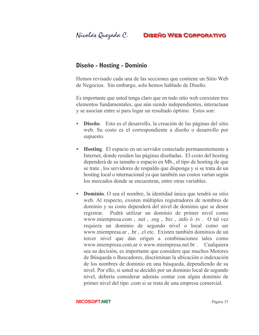## Diseño - Hosting - Dominio

Hemos revisado cada una de las secciones que contiene un Sitio Web de Negocios. Sin embargo, solo hemos hablado de Diseño.

Es importante que usted tenga claro que en todo sitio web coexisten tres elementos fundamentales, que aún siendo independientes, interactuan y se asocian entre si para logar un resultado óptimo. Estos son:

- $\triangleright$  **Diseño**. Esto es el desarrollo, la creación de las páginas del sitio web. Su costo es el correspondiente a diseño o desarrollo por supuesto.
- $\triangleright$  Hosting. El espacio en un servidor conectado permanentemente a Internet, donde residen las páginas diseñadas. El costo del hosting dependerá de su tamaño o espacio en Mb., el tipo de hosting de que se trate, los servidores de respaldo que disponga y si se trata de un hosting local o internacional ya que también sus costos varían según los mercados donde se encuentran, entre otras variables.
- Dominio. O sea el nombre, la identidad única que tendrá su sitio web. Al respecto, existen múltiples registradores de nombres de dominio y su costo dependerá del nivel de dominio que se desee Podrá utilizar un dominio de primer nivel como registrar. www.miempresa.com, net, org, biz, info 6 tv. O tal vez requiera un dominio de segundo nivel o local como ser www.miempresa.ar, br, cl etc. Existen también dominios de un tercer nivel que dan origen a combinaciones tales como www.miempresa.com.ar ó www.miempresa.net.br. Cualquiera sea su decisión, es importante que considere que muchos Motores de Búsqueda o Buscadores, discriminan la ubicación o indexación de los nombres de dominio en una búsqueda, dependiendo de su nivel. Por ello, si usted se decidió por un dominio local de segundo nivel, debería considerar además contar con algún dominio de primer nivel del tipo .com si se trata de una empresa comercial.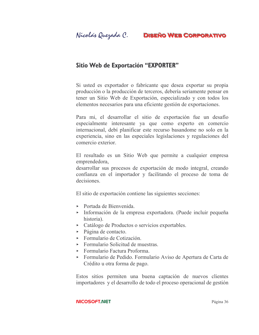## Sitio Web de Exportación "EXPORTER"

Si usted es exportador o fabricante que desea exportar su propia producción o la producción de terceros, debería seriamente pensar en tener un Sitio Web de Exportación, especializado y con todos los elementos necesarios para una eficiente gestión de exportaciones.

Para mi, el desarrollar el sitio de exportación fue un desafío especialmente interesante ya que como experto en comercio internacional, debí planificar este recurso basandome no solo en la experiencia, sino en las especiales legislaciones y regulaciones del comercio exterior.

El resultado es un Sitio Web que permite a cualquier empresa emprendedora,

desarrollar sus procesos de exportación de modo integral, creando confianza en el importador y facilitando el proceso de toma de decisiones

El sitio de exportación contiene las siguientes secciones:

- $\triangleright$  Portada de Bienvenida.
- Información de la empresa exportadora. (Puede incluir pequeña historia).
- Catálogo de Productos o servicios exportables.
- $\triangleright$  Página de contacto.
- $\triangleright$  Formulario de Cotización
- $\triangleright$  Formulario Solicitud de muestras.
- $\triangleright$  Formulario Factura Proforma.
- Formulario de Pedido. Formulario Aviso de Apertura de Carta de Crédito u otra forma de pago.

Estos sitios permiten una buena captación de nuevos clientes importadores y el desarrollo de todo el proceso operacional de gestión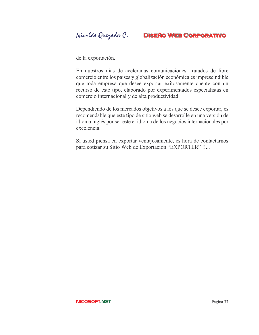Nicolás Quezada C. **DISEÑO WEB CORPORATIVO** 

de la exportación.

En nuestros días de aceleradas comunicaciones, tratados de libre comercio entre los países y globalización económica es imprescindible que toda empresa que desee exportar exitosamente cuente con un recurso de este tipo, elaborado por experimentados especialistas en comercio internacional y de alta productividad.

Dependiendo de los mercados objetivos a los que se desee exportar, es recomendable que este tipo de sitio web se desarrolle en una versión de idioma inglés por ser este el idioma de los negocios internacionales por excelencia.

Si usted piensa en exportar ventajosamente, es hora de contactarnos para cotizar su Sitio Web de Exportación "EXPORTER" !!...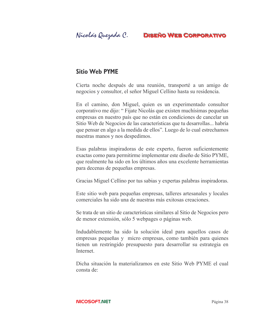## **Sitio Web PYME**

Cierta noche después de una reunión, transporté a un amigo de negocios y consultor, el señor Miguel Cellino hasta su residencia.

En el camino, don Miguel, quien es un experimentado consultor corporativo me dijo: "Fijate Nicolás que existen muchísimas pequeñas empresas en nuestro país que no están en condiciones de cancelar un Sitio Web de Negocios de las características que tu desarrollas... habría que pensar en algo a la medida de ellos". Luego de lo cual estrechamos nuestras manos y nos despedimos.

Esas palabras inspiradoras de este experto, fueron suficientemente exactas como para permitirme implementar este diseño de Sitio PYME, que realmente ha sido en los últimos años una excelente herramientas para decenas de pequeñas empresas.

Gracias Miguel Cellino por tus sabias y expertas palabras inspiradoras.

Este sitio web para pequeñas empresas, talleres artesanales y locales comerciales ha sido una de nuestras más exitosas creaciones.

Se trata de un sitio de características similares al Sitio de Negocios pero de menor extensión, sólo 5 webpages o páginas web.

Indudablemente ha sido la solución ideal para aquellos casos de empresas pequeñas y micro empresas, como también para quienes tienen un restringido presupuesto para desarrollar su estrategia en Internet.

Dicha situación la materializamos en este Sitio Web PYME el cual consta de: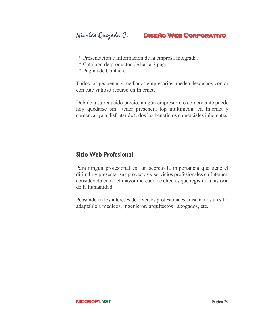- \* Presentación e Información de la empresa integrada.
- \* Catálogo de productos de hasta 3 pag.
- \* Página de Contacto.

Todos los pequeños y medianos empresarios pueden desde hoy contar con este valioso recurso en Internet.

Debido a su reducido precio, ningún empresario o comerciante puede hoy quedarse sin tener presencia top multimedia en Internet y comenzar ya a disfrutar de todos los beneficios comerciales inherentes.

## **Sitio Web Profesional**

Para ningún profesional es un secreto la importancia que tiene el difundir y presentar sus proyectos y servicios profesionales en Internet, considerado como el mayor mercado de clientes que registra la historia de la humanidad

Pensando en los intereses de diversos profesionales, diseñamos un sitio adaptable a médicos, ingenieros, arquitectos, abogados, etc.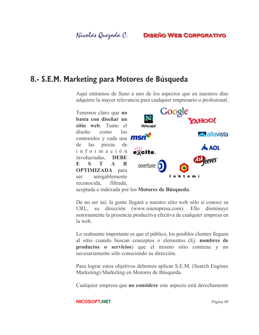## 8.- S.E.M. Marketing para Motores de Búsqueda

Aquí entramos de lleno a uno de los aspectos que en nuestros días adquiere la mayor relevancia para cualquier empresario o profesional.

Tenemos claro que no basta con diseñar un sitio web. Tanto el  $\log$ diseño  $como$ contenidos y cada una **msn** piezas de las de información involucradas. DEBE  $\mathbf{A}$  $\mathbf R$  $\mathbf{E}$  $\mathbf{S}$  $\mathbf{T}$ **OPTIMIZADA** para amigablemente ser reconocida. filtrada.



aceptada e indexada por los Motores de Búsqueda.

De no ser así, la gente llegará a nuestro sitio web sólo si conoce su URL, su dirección (www.miempresa.com). Ello disminuye notoriamente la presencia productiva efectiva de cualquier empresa en la web

Lo realmente importante es que el público, los posibles clientes lleguen al sitio cuando buscan conceptos o elementos (Ej: nombres de **productos o servicios**) que el mismo sitio contiene y no necesariamente sólo conociendo su dirección.

Para lograr estos objetivos debemos aplicar S.E.M. (Search Engines Marketing) Marketing en Motores de Búsqueda.

Cualquier empresa que no considere este aspecto está derechamente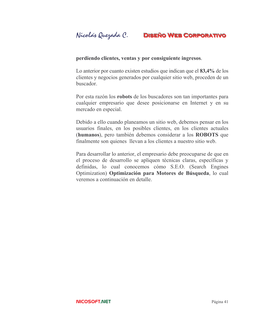#### perdiendo clientes, ventas y por consiguiente ingresos.

Lo anterior por cuanto existen estudios que indican que el 83,4% de los clientes y negocios generados por cualquier sitio web, proceden de un buscador.

Por esta razón los robots de los buscadores son tan importantes para cualquier empresario que desee posicionarse en Internet y en su mercado en especial.

Debido a ello cuando planeamos un sitio web, debemos pensar en los usuarios finales, en los posibles clientes, en los clientes actuales (humanos), pero también debemos considerar a los ROBOTS que finalmente son quienes llevan a los clientes a nuestro sitio web.

Para desarrollar lo anterior, el empresario debe preocuparse de que en el proceso de desarrollo se apliquen técnicas claras, específicas y definidas, lo cual conocemos cómo S.E.O. (Search Engines Optimization) Optimización para Motores de Búsqueda, lo cual veremos a continuación en detalle.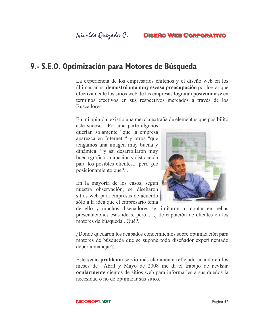

## 9.- S.E.O. Optimización para Motores de Búsqueda

La experiencia de los empresarios chilenos y el diseño web en los últimos años, demostró una muy escasa preocupación por lograr que efectivamente los sitios web de las empresas lograran **posicionarse** en términos efectivos en sus respectivos mercados a través de los **Buscadores** 

En mi opinión, existió una mezcla extraña de elementos que posibilitó

este suceso. Por una parte algunos querían solamente "que la empresa" aparezca en Internet " y otros "que tengamos una imagen muy buena y dinámica " y así desarrollaron muy buena gráfica, animación y distracción para los posibles clientes... pero *i* de posicionamiento que?...

En la mayoría de los casos, según nuestra observación, se diseñaron sitios web para empresas de acuerdo sólo a la idea que el empresario tenía



de ello y muchos diseñadores se limitaron a montar en bellas presentaciones esas ideas, pero..., *i* de captación de clientes en los motores de búsqueda.. Qué?.

¿Donde quedaron los acabados conocimientos sobre optimización para motores de búsqueda que se supone todo diseñador experimentado debería manejar?.

Este serio problema se vio más claramente reflejado cuando en los meses de Abril y Mayo de 2008 me dí el trabajo de revisar ocularmente cientos de sitios web para informarles a sus dueños la necesidad o no de optimizar sus sitios.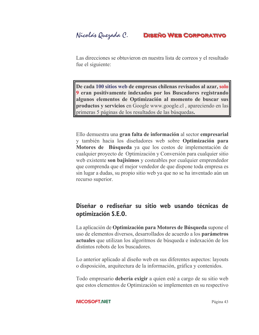Nicolás Quezada C.

Las direcciones se obtuvieron en nuestra lista de correos y el resultado fue el siguiente:

De cada 100 sitios web de empresas chilenas revisados al azar, solo 9 eran positivamente indexados por los Buscadores registrando algunos elementos de Optimización al momento de buscar sus productos y servicios en Google www.google.cl, apareciendo en las primeras 5 páginas de los resultados de las búsquedas.

Ello demuestra una gran falta de información al sector empresarial y también hacia los diseñadores web sobre Optimización para Motores de Búsqueda ya que los costos de implementación de cualquier proyecto de Optimización y Conversión para cualquier sitio web existente son bajisimos y costeables por cualquier emprendedor que comprenda que el mejor vendedor de que dispone toda empresa es sin lugar a dudas, su propio sitio web ya que no se ha inventado aún un recurso superior.

## Diseñar o rediseñar su sitio web usando técnicas de optimización S.E.O.

La aplicación de Optimización para Motores de Búsqueda supone el uso de elementos diversos, desarrollados de acuerdo a los **parámetros** actuales que utilizan los algoritmos de búsqueda e indexación de los distintos robots de los buscadores.

Lo anterior aplicado al diseño web en sus diferentes aspectos: layouts o disposición, arquitectura de la información, gráfica y contenidos.

Todo empresario debería exigir a quien esté a cargo de su sitio web que estos elementos de Optimización se implementen en su respectivo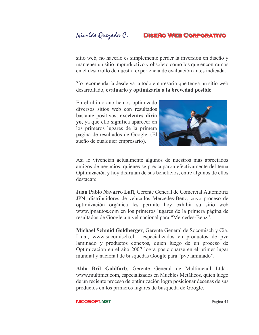sitio web, no hacerlo es simplemente perder la inversión en diseño y mantener un sitio improductivo y obsoleto como los que encontramos en el desarrollo de nuestra experiencia de evaluación antes indicada.

Yo recomendaría desde ya a todo empresario que tenga un sitio web desarrollado, evaluarlo y optimizarlo a la brevedad posible.

En el ultimo año hemos optimizado diversos sitios web con resultados bastante positivos, excelentes diría yo, ya que ello significa aparecer en los primeros lugares de la primera pagina de resultados de Google. (El sueño de cualquier empresario).



Así lo vivencian actualmente algunos de nuestros más apreciados amigos de negocios, quienes se preocuparon efectivamente del tema Optimización y hoy disfrutan de sus beneficios, entre algunos de ellos destacan<sup>-</sup>

Juan Pablo Navarro Luft, Gerente General de Comercial Automotriz JPN, distribuidores de vehículos Mercedes-Benz, cuyo proceso de optimización orgánica les permite hoy exhibir su sitio web www.jpnautos.com en los primeros lugares de la primera página de resultados de Google a nivel nacional para "Mercedes-Benz".

Michael Schmid Goldberger, Gerente General de Socomisch y Cia. Ltda., www.socomisch.cl, especializados en productos de pvc laminado y productos conexos, quien luego de un proceso de Optimización en el año 2007 logra posicionarse en el primer lugar mundial y nacional de búsquedas Google para "pvc laminado".

Aldo Bril Goldfarb, Gerente General de Multimetall Ltda., www.multimet.com, especializados en Muebles Metálicos, quien luego de un reciente proceso de optimización logra posicionar decenas de sus productos en los primeros lugares de búsqueda de Google.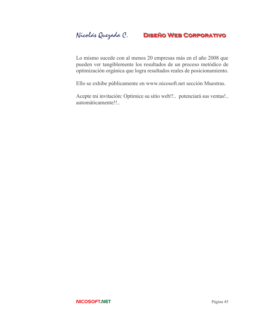Lo mismo sucede con al menos 20 empresas más en el año 2008 que pueden ver tangiblemente los resultados de un proceso metódico de optimización orgánica que logra resultados reales de posicionamiento.

Ello se exhibe públicamente en www.nicosoft.net sección Muestras.

Acepte mi invitación: Optimice su sitio web!!.. potenciará sus ventas!.. automáticamente!!..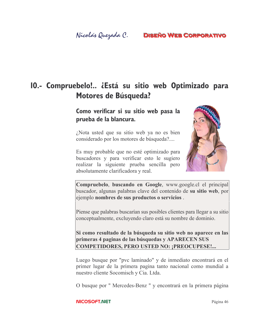## 10.- Compruebelo!.. ¿Está su sitio web Optimizado para **Motores de Búsqueda?**

Como verificar si su sitio web pasa la prueba de la blancura.

¿Nota usted que su sitio web ya no es bien considerado por los motores de búsqueda?....

Es muy probable que no esté optimizado para buscadores y para verificar esto le sugiero realizar la siguiente prueba sencilla pero absolutamente clarificadora y real.



Compruebelo, buscando en Google, www.google.cl el principal buscador, algunas palabras clave del contenido de su sitio web, por ejemplo nombres de sus productos o servicios.

Piense que palabras buscarían sus posibles clientes para llegar a su sitio conceptualmente, excluyendo claro está su nombre de dominio.

Si como resultado de la búsqueda su sitio web no aparece en las primeras 4 paginas de las búsquedas y APARECEN SUS **COMPETIDORES, PERO USTED NO: : PREOCUPESE!...** 

Luego busque por "pvc laminado" y de inmediato encontrará en el primer lugar de la primera pagina tanto nacional como mundial a nuestro cliente Socomisch y Cia. Ltda.

O busque por "Mercedes-Benz" y encontrará en la primera página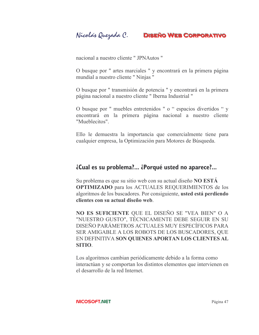nacional a nuestro cliente " JPNAutos "

O busque por " artes marciales " y encontrará en la primera página mundial a nuestro cliente "Ninjas"

O busque por " transmisión de potencia " y encontrará en la primera página nacional a nuestro cliente "Iberna Industrial "

O busque por " muebles entretenidos " o " espacios divertidos " y encontrará en la primera página nacional a nuestro cliente "Mueblecitos"

Ello le demuestra la importancia que comercialmente tiene para cualquier empresa, la Optimización para Motores de Búsqueda.

## *i*Cual es su problema?... *i*Porqué usted no aparece?...

Su problema es que su sitio web con su actual diseño NO ESTA **OPTIMIZADO** para los ACTUALES REQUERIMIENTOS de los algoritmos de los buscadores. Por consiguiente, usted está perdiendo clientes con su actual diseño web.

NO ES SUFICIENTE QUE EL DISEÑO SE "VEA BIEN" O A "NUESTRO GUSTO", TÉCNICAMENTE DEBE SEGUIR EN SU DISEÑO PARÁMETROS ACTUALES MUY ESPECÍFICOS PARA SER AMIGABLE A LOS ROBOTS DE LOS BUSCADORES, QUE EN DEFINITIVA SON QUIENES APORTAN LOS CLIENTES AL **SITIO** 

Los algoritmos cambian periódicamente debido a la forma como interactúan y se comportan los distintos elementos que intervienen en el desarrollo de la red Internet.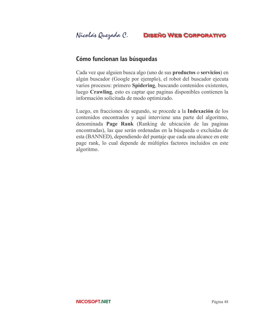## Cómo funcionan las búsquedas

Cada vez que alguien busca algo (uno de sus **productos** o **servicios**) en algún buscador (Google por ejemplo), el robot del buscador ejecuta varios procesos: primero Spidering, buscando contenidos existentes, luego Crawling, esto es captar que paginas disponibles contienen la información solicitada de modo optimizado.

Luego, en fracciones de segundo, se procede a la **Indexación** de los contenidos encontrados y aquí interviene una parte del algoritmo, denominada Page Rank (Ranking de ubicación de las paginas encontradas), las que serán ordenadas en la búsqueda o excluidas de esta (BANNED), dependiendo del puntaje que cada una alcance en este page rank, lo cual depende de múltiples factores incluidos en este algoritmo.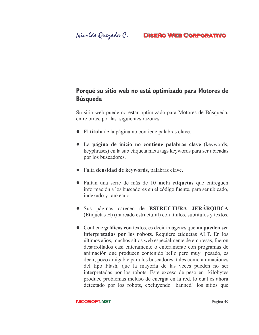## Porqué su sitio web no está optimizado para Motores de **Búsqueda**

Su sitio web puede no estar optimizado para Motores de Búsqueda, entre otras, por las siguientes razones:

- El titulo de la página no contiene palabras clave.
- La página de inicio no contiene palabras clave (keywords, keyphrases) en la sub etiqueta meta tags keywords para ser ubicadas por los buscadores.
- Falta densidad de keywords, palabras clave.
- Faltan una serie de más de 10 meta etiquetas que entreguen información a los buscadores en el código fuente, para ser ubicado, indexado y rankeado.
- · Sus páginas carecen de ESTRUCTURA JERÁRQUICA (Etiquetas H) (marcado estructural) con títulos, subtítulos y textos.
- Contiene gráficos con textos, es decir imágenes que no pueden ser interpretadas por los robots. Requiere etiquetas ALT. En los últimos años, muchos sitios web especialmente de empresas, fueron desarrollados casi enteramente o enteramente con programas de animación que producen contenido bello pero muy pesado, es decir, poco amigable para los buscadores, tales como animaciones del tipo Flash, que la mayoría de las veces pueden no ser interpretadas por los robots. Este exceso de peso en kilobytes produce problemas incluso de energía en la red, lo cual es ahora detectado por los robots, excluyendo "banned" los sitios que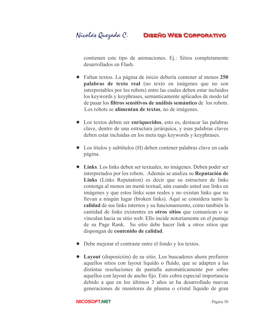contienen este tipo de animaciones. Ej.: Sitios completamente desarrollados en Flash

- Faltan textos. La página de inicio debería contener al menos 250 palabras de texto real (no texto en imágenes que no son interpretables por los robots) entre las cuales deben estar incluidos los keywords y keyphrases, semanticamente aplicados de modo tal de pasar los filtros sensitivos de análisis semántico de los robots. Los robots se alimentan de textos, no de imágenes.
- Los textos deben ser enriquecidos, esto es, destacar las palabras clave, dentro de una estructura jerárquica, y esas palabras claves deben estar incluidas en los meta tags keywords y keyphrases.
- Los títulos y subtítulos (H) deben contener palabras clave en cada página.
- Links. Los links deben ser textuales, no imágenes. Deben poder ser interpretados por los robots. Además se analiza su Reputación de Links (Links Reputation) es decir que su estructura de links contenga al menos un menú textual, aún cuando usted use links en imágenes y que estos links sean reales y no existan links que no llevan a ningún lugar (broken links). Aquí se considera tanto la calidad de sus links internos y su funcionamiento, como también la cantidad de links existentes en **otros sitios** que comunican o se vinculan hacia su sitio web. Ello incide notoriamente en el puntaje de su Page Rank. Su sitio debe hacer link a otros sitios que dispongan de contenido de calidad.
- Debe mejorar el contraste entre el fondo y los textos.
- Layout (disposición) de su sitio. Los buscadores ahora prefieren aquellos sitios con layout liquido o fluido, que se adapten a las distintas resoluciones de pantalla automáticamente por sobre aquellos con layout de ancho fijo. Esto cobra especial importancia debido a que en los últimos 3 años se ha desarrollado nuevas generaciones de monitores de plasma o cristal líquido de gran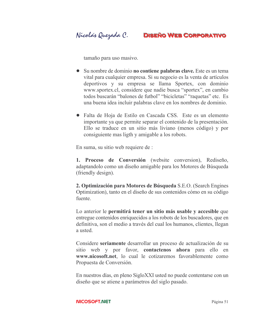tamaño para uso masivo.

- Su nombre de dominio no contiene palabras clave. Este es un tema vital para cualquier empresa. Si su negocio es la venta de artículos deportivos y su empresa se llama Sportex, con dominio www.sportex.cl, considere que nadie busca "sportex", en cambio todos buscarán "balones de futbol" "bicicletas" "raquetas" etc. Es una buena idea incluir palabras clave en los nombres de dominio.
- Falta de Hoja de Estilo en Cascada CSS. Este es un elemento importante ya que permite separar el contenido de la presentación. Ello se traduce en un sitio más liviano (menos código) y por consiguiente mas ligth y amigable a los robots.

En suma, su sitio web requiere de :

1. Proceso de Conversión (website conversion), Rediseño, adaptandolo como un diseño amigable para los Motores de Búsqueda (friendly design).

2. Optimización para Motores de Búsqueda S.E.O. (Search Engines Optimization), tanto en el diseño de sus contenidos cómo en su código fuente.

Lo anterior le permitirá tener un sitio más usable y accesible que entregue contenidos enriquecidos a los robots de los buscadores, que en definitiva, son el medio a través del cual los humanos, clientes, llegan a usted.

Considere seriamente desarrollar un proceso de actualización de su sitio web y por favor, contactenos ahora para ello en www.nicosoft.net. lo cual le cotizaremos favorablemente como Propuesta de Conversión.

En nuestros días, en pleno SigloXXI usted no puede contentarse con un diseño que se atiene a parámetros del siglo pasado.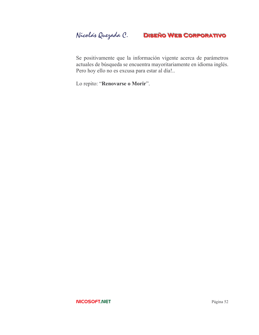Se positivamente que la información vigente acerca de parámetros actuales de búsqueda se encuentra mayoritariamente en idioma inglés. Pero hoy ello no es excusa para estar al día!..

Lo repito: "Renovarse o Morir".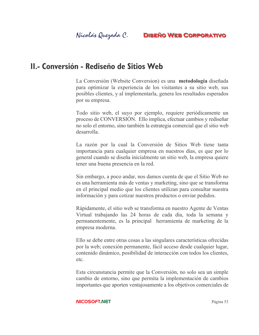## II.- Conversión - Rediseño de Sitios Web

La Conversión (Website Conversion) es una metodología diseñada para optimizar la experiencia de los visitantes a su sitio web, sus posibles clientes, y al implementarla, genera los resultados esperados por su empresa.

Todo sitio web, el suyo por ejemplo, requiere periódicamente un proceso de CONVERSIÓN. Ello implica, efectuar cambios y rediseñar no solo el entorno, sino también la estrategia comercial que el sitio web desarrolla

La razón por la cual la Conversión de Sitios Web tiene tanta importancia para cualquier empresa en nuestros días, es que por lo general cuando se diseña inicialmente un sitio web, la empresa quiere tener una buena presencia en la red.

Sin embargo, a poco andar, nos damos cuenta de que el Sitio Web no es una herramienta más de ventas y marketing, sino que se transforma en el principal medio que los clientes utilizan para consultar nuestra información y para cotizar nuestros productos o enviar pedidos.

Rápidamente, el sitio web se transforma en nuestro Agente de Ventas Virtual trabajando las 24 horas de cada día, toda la semana y permanentemente, es la principal herramienta de marketing de la empresa moderna.

Ello se debe entre otras cosas a las singulares características ofrecidas por la web; conexión permanente, fácil acceso desde cualquier lugar, contenido dinámico, posibilidad de interacción con todos los clientes, etc.

Esta circunstancia permite que la Conversión, no solo sea un simple cambio de entorno, sino que permita la implementación de cambios importantes que aporten ventajosamente a los objetivos comerciales de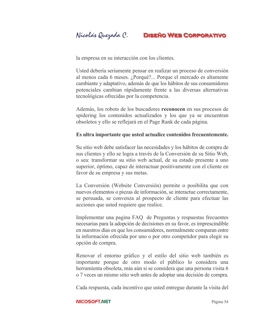Nicolás Quezada C. **DISEÑO WEB CORPORATIVO** 

la empresa en su interacción con los clientes.

Usted debería seriamente pensar en realizar un proceso de conversión al menos cada 6 meses. ¿Porqué?... Porque el mercado es altamente cambiante y adaptativo, además de que los hábitos de sus consumidores potenciales cambian rápidamente frente a las diversas alternativas tecnológicas ofrecidas por la competencia.

Además, los robots de los buscadores reconocen en sus procesos de spidering los contenidos actualizados y los que ya se encuentran obsoletos y ello se reflejará en el Page Rank de cada página.

#### Es ultra importante que usted actualice contenidos frecuentemente.

Su sitio web debe satisfacer las necesidades y los hábitos de compra de sus clientes y ello se logra a través de la Conversión de su Sitio Web, o sea: transformar su sitio web actual, de su estado presente a uno superior, óptimo, capaz de interactuar positivamente con el cliente en favor de su empresa y sus metas.

La Conversión (Website Conversión) permite o posibilita que con nuevos elementos o piezas de información, se interactue correctamente, se persuada, se convenza al prospecto de cliente para efectuar las acciones que usted requiere que realice.

Implementar una pagina FAQ de Preguntas y respuestas frecuentes necesarias para la adopción de decisiones en su favor, es imprescindible en nuestros días en que los consumidores, normalmente comparan entre la información ofrecida por uno o por otro competidor para elegir su opción de compra.

Renovar el entorno gráfico y el estilo del sitio web también es importante porque de otro modo el público lo considera una herramienta obsoleta, más aún si se considera que una persona visita 6 o 7 veces un mismo sitio web antes de adoptar una decisión de compra.

Cada respuesta, cada incentivo que usted entregue durante la visita del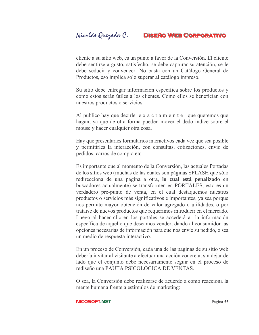cliente a su sitio web, es un punto a favor de la Conversión. El cliente debe sentirse a gusto, satisfecho, se debe capturar su atención, se le debe seducir y convencer. No basta con un Catálogo General de Productos, eso implica solo superar al catálogo impreso.

Su sitio debe entregar información específica sobre los productos y como estos serán útiles a los clientes. Como ellos se benefician con nuestros productos o servicios.

Al publico hay que decirle e x a c t a m e n t e que queremos que hagan, ya que de otra forma pueden mover el dedo indice sobre el mouse y hacer cualquier otra cosa.

Hay que presentarles formularios interactivos cada vez que sea posible y permitirles la interacción, con consultas, cotizaciones, envío de pedidos, carros de compra etc.

Es importante que al momento de la Conversión, las actuales Portadas de los sitios web (muchas de las cuales son páginas SPLASH que sólo redirecciona de una pagina a otra, lo cual está penalizado en buscadores actualmente) se transformen en PORTALES, esto es un verdadero pre-punto de venta, en el cual destaquemos nuestros productos o servicios más significativos e importantes, ya sea porque nos permite mayor obtención de valor agregado o utilidades, o por tratarse de nuevos productos que requerimos introducir en el mercado. Luego al hacer clic en los portales se accederá a la información específica de aquello que deseamos vender, dando al consumidor las opciones necesarias de información para que nos envíe su pedido, o sea un medio de respuesta interactivo.

En un proceso de Conversión, cada una de las paginas de su sitio web debería invitar al visitante a efectuar una acción concreta, sin dejar de lado que el conjunto debe necesariamente seguir en el proceso de rediseño una PAUTA PSICOLÓGICA DE VENTAS

O sea, la Conversión debe realizarse de acuerdo a como reacciona la mente humana frente a estímulos de marketing: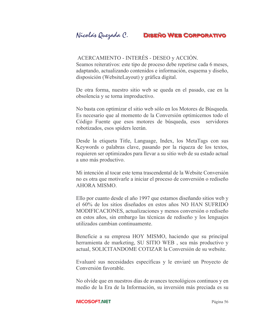## ACERCAMIENTO - INTERÉS - DESEO y ACCIÓN.

Seamos reiterativos: este tipo de proceso debe repetirse cada 6 meses, adaptando, actualizando contenidos e información, esquema y diseño, disposición (WebsiteLayout) y gráfica digital.

De otra forma, nuestro sitio web se queda en el pasado, cae en la obsolencia y se torna improductivo.

No basta con optimizar el sitio web sólo en los Motores de Búsqueda. Es necesario que al momento de la Conversión optimicemos todo el Código Fuente que esos motores de búsqueda, esos servidores robotizados, esos spiders leerán.

Desde la etiqueta Title, Language, Index, los MetaTags con sus Keywords o palabras clave, pasando por la riqueza de los textos, requieren ser optimizados para llevar a su sitio web de su estado actual a uno más productivo.

Mi intención al tocar este tema trascendental de la Website Conversión no es otra que motivarle a iniciar el proceso de conversión o rediseño AHORA MISMO

Ello por cuanto desde el año 1997 que estamos diseñando sitios web y el 60% de los sitios diseñados en estos años NO HAN SUFRIDO MODIFICACIONES, actualizaciones y menos conversión o rediseño en estos años, sin embargo las técnicas de rediseño y los lenguajes utilizados cambian continuamente

Beneficie a su empresa HOY MISMO, haciendo que su principal herramienta de marketing, SU SITIO WEB, sea más productivo y actual, SOLICITANDOME COTIZAR la Conversión de su website.

Evaluaré sus necesidades específicas y le enviaré un Proyecto de Conversión favorable

No olvide que en nuestros días de avances tecnológicos continuos y en medio de la Era de la Información, su inversión más preciada es su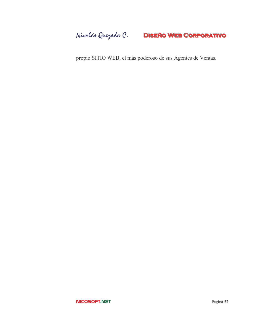Nicolás Quezada C. DISEÑO WEB CORPORATIVO

propio SITIO WEB, el más poderoso de sus Agentes de Ventas.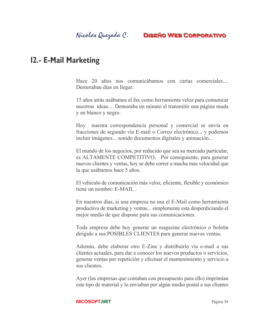## Nicolás Quezada C.

## **DISEÑO WEB CORPORATIVO**

## **12.- E-Mail Marketing**

Hace 20 años nos comunicábamos con cartas comerciales... Demoraban días en llegar.

15 años atrás usábamos el fax como herramienta veloz para comunicar nuestras ideas.... Demoraba un minuto el transmitir una página muda y en blanco y negro.

Hoy nuestra correspondencia personal y comercial se envía en fracciones de segundo vía E-mail o Correo electrónico... y podemos incluir imágenes... sonido documentos digitales y animación...

El mundo de los negocios, por reducido que sea su mercado particular, es ALTAMENTE COMPETITIVO. Por consiguiente, para generar nuevos clientes y ventas, hoy se debe correr a mucha mas velocidad que la que usábamos hace 5 años.

El vehiculo de comunicación más veloz, eficiente, flexible y económico tiene un nombre: E-MAIL

En nuestros días, si una empresa no usa el E-Mail como herramienta productiva de marketing y ventas... simplemente esta desperdiciando el mejor medio de que dispone para sus comunicaciones.

Toda empresa debe hoy generar un magazine electrónico o boletín dirigido a sus POSIBLES CLIENTES para generar nuevas ventas.

Además, debe elaborar otro E-Zine y distribuirlo vía e-mail a sus clientes actuales, para dar a conocer los nuevos productos o servicios, generar ventas por repetición y efectuar el mantenimiento y servicio a sus clientes.

Ayer (las empresas que contaban con presupuesto para ello) imprimían este tipo de material y lo enviaban por algún medio postal a sus clientes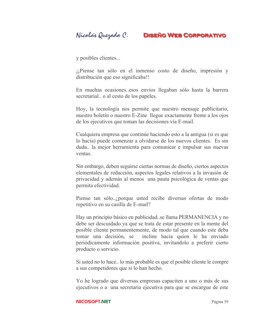y posibles clientes...

i piense tan sólo en el inmenso costo de diseño, impresión y distribución que eso significaba!!

En muchas ocasiones esos envíos llegaban sólo hasta la barrera secretarial... o al cesto de los papeles.

Hoy, la tecnología nos permite que nuestro mensaje publicitario, nuestro boletín o nuestro E-Zine llegue exactamente frente a los ojos de los ejecutivos que toman las decisiones vía E-mail.

Cualquiera empresa que continúe haciendo esto a la antigua (si es que lo hacía) puede comenzar a olvidarse de los nuevos clientes. Es sin duda... la mejor herramienta para comunicar e impulsar sus nuevas ventas.

Sin embargo, deben seguirse ciertas normas de diseño, ciertos aspectos elementales de redacción, aspectos legales relativos a la invasión de privacidad y además al menos una pauta psicológica de ventas que permita efectividad.

Piense tan sólo..., porque usted recibe diversas ofertas de modo repetitivo en su casilla de E-mail?

Hay un principio básico en publicidad...se llama PERMANENCIA y no debe ser descuidado ya que se trata de estar presente en la mente del posible cliente permanentemente, de modo tal que cuando este deba tomar una decisión, se incline hacia quien le ha enviado periódicamente información positiva, invitandolo a preferir cierto producto o servicio.

Si usted no lo hace... lo más probable es que el posible cliente le compre a sus competidores que si lo han hecho.

Yo he logrado que diversas empresas capaciten a uno o más de sus ejecutivos o a una secretaria ejecutiva para que se encargue de este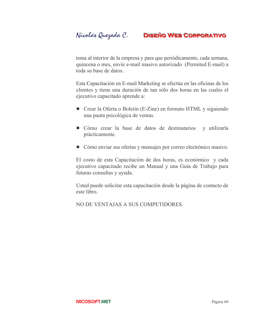tema al interior de la empresa y para que periódicamente, cada semana, quincena o mes, envíe e-mail masivo autorizado (Permited E-mail) a toda su base de datos.

Esta Capacitación en E-mail Marketing se efectúa en las oficinas de los clientes y tiene una duración de tan sólo dos horas en las cuales el ejecutivo capacitado aprende a:

- Crear la Oferta o Boletín (E-Zine) en formato HTML y siguiendo una pauta psicológica de ventas.
- Cómo crear la base de datos de destinatarios y utilizarla prácticamente.
- Cómo enviar sus ofertas y mensajes por correo electrónico masivo.

El costo de esta Capacitación de dos horas, es económico y cada ejecutivo capacitado recibe un Manual y una Guía de Trabajo para futuras consultas y ayuda.

Usted puede solicitar esta capacitación desde la página de contacto de este libro.

NO DE VENTAJAS A SUS COMPETIDORES.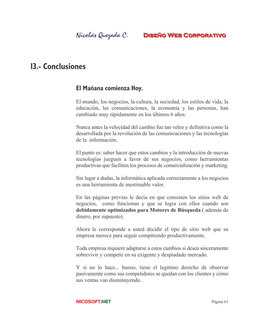## **13.- Conclusiones**

## El Mañana comienza Hoy.

El mundo, los negocios, la cultura, la sociedad, los estilos de vida, la educación, las comunicaciones, la economía y las personas, han cambiado muy rápidamente en los últimos 6 años.

Nunca antes la velocidad del cambio fue tan veloz y definitiva como la desarrollada por la revolución de las comunicaciones y las tecnologías de la información.

El punto es: saber hacer que estos cambios y la introducción de nuevas tecnologías jueguen a favor de sus negocios, como herramientas productivas que faciliten los procesos de comercialización y marketing.

Sin lugar a dudas, la informática aplicada correctamente a los negocios es una herramienta de inestimable valor

En las páginas previas le decía en que consisten los sitios web de negocios, como funcionan y que se logra con ellos cuando son debidamente optimizados para Motores de Búsqueda (además de dinero, por supuesto).

Ahora le corresponde a usted decidir el tipo de sitio web que su empresa merece para seguir compitiendo productivamente.

Toda empresa requiere adaptarse a estos cambios si desea sinceramente sobrevivir y competir en su exigente y despiadado mercado.

Y si no lo hace... bueno, tiene el legitimo derecho de observar pasivamente como sus competidores se quedan con los clientes y cómo sus ventas van disminuyendo.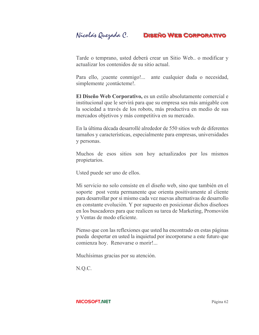Tarde o temprano, usted deberá crear un Sitio Web.. o modificar y actualizar los contenidos de su sitio actual

Para ello, jouente conmigo!... ante cualquier duda o necesidad, simplemente *i*contácteme!.

El Diseño Web Corporativo, es un estilo absolutamente comercial e institucional que le servirá para que su empresa sea más amigable con la sociedad a través de los robots, más productiva en medio de sus mercados objetivos y más competitiva en su mercado.

En la última década desarrollé alrededor de 550 sitios web de diferentes tamaños y características, especialmente para empresas, universidades y personas.

Muchos de esos sitios son hoy actualizados por los mismos propietarios.

Usted puede ser uno de ellos.

Mi servicio no solo consiste en el diseño web, sino que también en el soporte post venta permanente que orienta positivamente al cliente para desarrollar por si mismo cada vez nuevas alternativas de desarrollo en constante evolución. Y por supuesto en posicionar dichos diseñoes en los buscadores para que realicen su tarea de Marketing, Promovión y Ventas de modo eficiente.

Pienso que con las reflexiones que usted ha encontrado en estas páginas pueda despertar en usted la inquietud por incorporarse a este futuro que comienza hoy. Renovarse o morir!...

Muchísimas gracias por su atención.

N.Q.C.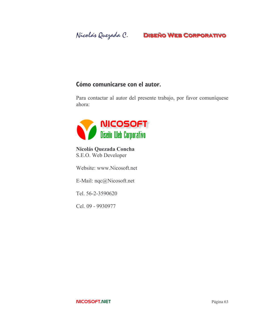## Cómo comunicarse con el autor.

Para contactar al autor del presente trabajo, por favor comuníquese ahora:



**Nicolás Ouezada Concha** S.E.O. Web Developer

Website: www.Nicosoft.net

E-Mail: nqc@Nicosoft.net

Tel. 56-2-3590620

Cel. 09 - 9930977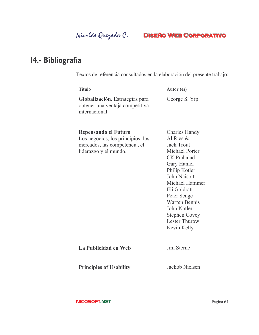# 14.- Bibliografía

Textos de referencia consultados en la elaboración del presente trabajo:

| <b>Titulo</b>                                                                                                       | Autor (es)                                                                                                                                                                                                                                                                                               |
|---------------------------------------------------------------------------------------------------------------------|----------------------------------------------------------------------------------------------------------------------------------------------------------------------------------------------------------------------------------------------------------------------------------------------------------|
| Globalización. Estrategias para<br>obtener una ventaja competitiva<br>internacional                                 | George S. Yip                                                                                                                                                                                                                                                                                            |
| Repensando el Futuro<br>Los negocios, los principios, los<br>mercados, las competencia, el<br>liderazgo y el mundo. | <b>Charles Handy</b><br>Al Ries $\&$<br><b>Jack Trout</b><br>Michael Porter<br><b>CK</b> Prahalad<br>Gary Hamel<br>Philip Kotler<br>John Naisbitt<br>Michael Hammer<br>Eli Goldratt<br>Peter Senge<br><b>Warren Bennis</b><br>John Kotler<br><b>Stephen Covey</b><br><b>Lester Thurow</b><br>Kevin Kelly |
| La Publicidad en Web                                                                                                | Jim Sterne                                                                                                                                                                                                                                                                                               |
| <b>Principles of Usability</b>                                                                                      | Jackob Nielsen                                                                                                                                                                                                                                                                                           |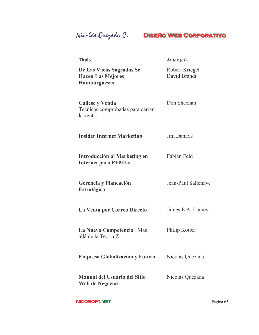| <b>Titulo</b>                                                               | Autor (es)                     |
|-----------------------------------------------------------------------------|--------------------------------|
| De Las Vacas Sagradas Se<br><b>Hacen Las Mejores</b><br><b>Hamburguesas</b> | Robert Kriegel<br>David Brandt |
| <b>Callese y Venda</b><br>Tecnicas comprobadas para cerrar<br>la venta.     | Don Sheehan                    |
| <b>Insider Internet Marketing</b>                                           | Jim Daniels                    |
| Introducción al Marketing en<br><b>Internet para PYMEs</b>                  | Fabián Feld                    |
| Gerencia y Planeación<br>Estratégica                                        | Jean-Paul Sallenave            |
| La Venta por Correo Directo                                                 | James E.A. Lumey               |
| La Nueva Competencia Mas<br>allá de la Teoría Z                             | Philip Kotler                  |
| <b>Empresa Globalización y Futuro</b>                                       | Nicolás Quezada                |
| <b>Manual del Usuario del Sitio</b><br><b>Web de Negocios</b>               | Nicolás Quezada                |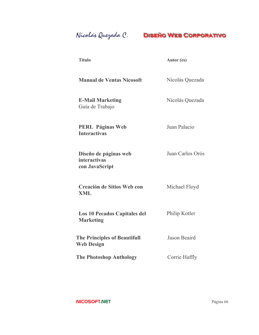Nicolás Quezada C.

| ۰.<br>×<br>۰.<br>×<br>× |
|-------------------------|
|-------------------------|

Autor (es)

**Manual de Ventas Nicosoft** Nicolás Quezada

**E-Mail Marketing** Guía de Trabajo

Nicolás Quezada

**PERL Páginas Web Interactivas** 

Diseño de páginas web *interactivas* con JavaScript

Juan Palacio

Juan Carlos Orós

Michael Floyd **Creación de Sitios Web con** XML

Los 10 Pecados Capitales del Philip Kotler **Marketing** 

**The Principles of Beautifull** Jason Beaird **Web Design** 

**The Photoshop Anthology** Corrie Haffly